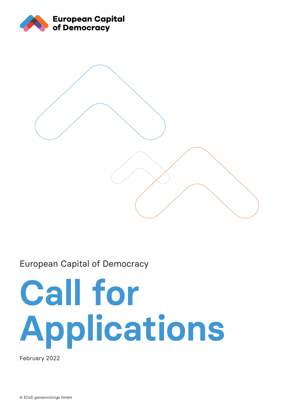



# European Capital of Democracy

# **Call for Applications**

February 2022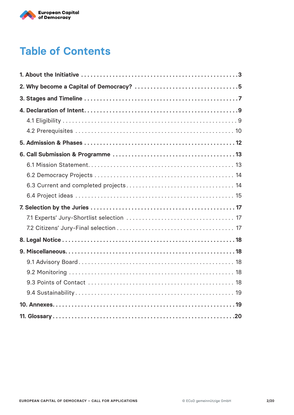

# **Table of Contents**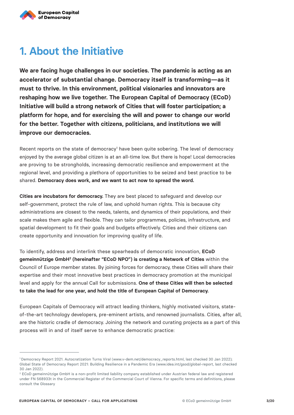

# **1. About the Initiative**

**We are facing huge challenges in our societies. The pandemic is acting as an accelerator of substantial change. Democracy itself is transforming—as it must to thrive. In this environment, political visionaries and innovators are reshaping how we live together. The European Capital of Democracy (ECoD) Initiative will build a strong network of Cities that will foster participation; a platform for hope, and for exercising the will and power to change our world for the better. Together with citizens, politicians, and institutions we will improve our democracies.**

Recent reports on the state of democracy<sup>1</sup> have been quite sobering. The level of democracy enjoyed by the average global citizen is at an all-time low. But there is hope! Local democracies are proving to be strongholds, increasing democratic resilience and empowerment at the regional level, and providing a plethora of opportunities to be seized and best practice to be shared. **Democracy does work, and we want to act now to spread the word.**

**Cities are incubators for democracy.** They are best placed to safeguard and develop our self-government, protect the rule of law, and uphold human rights. This is because city administrations are closest to the needs, talents, and dynamics of their populations, and their scale makes them agile and flexible. They can tailor programmes, policies, infrastructure, and spatial development to fit their goals and budgets effectively. Cities and their citizens can create opportunity and innovation for improving quality of life.

To identify, address and interlink these spearheads of democratic innovation, **ECoD gemeinnützige GmbH2 (hereinafter "ECoD NPO") is creating a Network of Cities** within the Council of Europe member states. By joining forces for democracy, these Cities will share their expertise and their most innovative best practices in democracy promotion at the municipal level and apply for the annual Call for submissions. **One of these Cities will then be selected to take the lead for one year, and hold the title of European Capital of Democracy.**

European Capitals of Democracy will attract leading thinkers, highly motivated visitors, stateof-the-art technology developers, pre-eminent artists, and renowned journalists. Cities, after all, are the historic cradle of democracy. Joining the network and curating projects as a part of this process will in and of itself serve to enhance democratic practice:

<sup>1</sup> Democracy Report 2021. Autocratization Turns Viral (www.v-dem.net/democracy\_reports.html, last checked 30 Jan 2022); Global State of Democracy Report 2021: Building Resilience in a Pandemic Era (www.idea.int/gsod/global-report, last checked 30 Jan 2022).

<sup>2</sup> ECoD gemeinnützige GmbH is a non-profit limited liability company established under Austrian federal law and registered under FN 568933t in the Commercial Register of the Commercial Court of Vienna. For specific terms and definitions, please consult the Glossary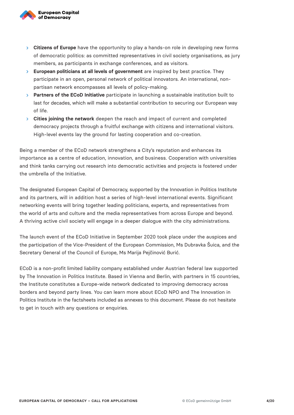

- **Citizens of Europe** have the opportunity to play a hands-on role in developing new forms of democratic politics: as committed representatives in civil society organisations, as jury members, as participants in exchange conferences, and as visitors.
- **European politicians at all levels of government** are inspired by best practice. They participate in an open, personal network of political innovators. An international, nonpartisan network encompasses all levels of policy-making.
- **Partners of the ECoD Initiative** participate in launching a sustainable institution built to last for decades, which will make a substantial contribution to securing our European way of life.
- **Cities joining the network** deepen the reach and impact of current and completed democracy projects through a fruitful exchange with citizens and international visitors. High-level events lay the ground for lasting cooperation and co-creation.

Being a member of the ECoD network strengthens a City's reputation and enhances its importance as a centre of education, innovation, and business. Cooperation with universities and think tanks carrying out research into democratic activities and projects is fostered under the umbrella of the Initiative.

The designated European Capital of Democracy, supported by the Innovation in Politics Institute and its partners, will in addition host a series of high-level international events. Significant networking events will bring together leading politicians, experts, and representatives from the world of arts and culture and the media representatives from across Europe and beyond. A thriving active civil society will engage in a deeper dialogue with the city administrations.

The launch event of the ECoD Initiative in September 2020 took place under the auspices and the participation of the Vice-President of the European Commission, Ms Dubravka Šuica, and the Secretary General of the Council of Europe, Ms Marija Pejčinović Burić.

ECoD is a non-profit limited liability company established under Austrian federal law supported by The Innovation in Politics Institute. Based in Vienna and Berlin, with partners in 15 countries, the Institute constitutes a Europe-wide network dedicated to improving democracy across borders and beyond party lines. You can learn more about ECoD NPO and The Innovation in Politics Institute in the factsheets included as annexes to this document. Please do not hesitate to get in touch with any questions or enquiries.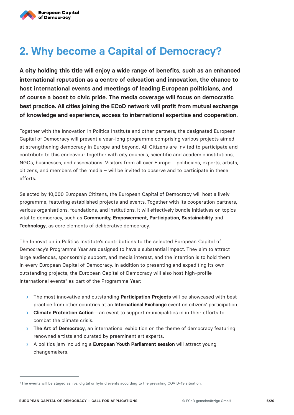

# **2. Why become a Capital of Democracy?**

**A city holding this title will enjoy a wide range of benefits, such as an enhanced international reputation as a centre of education and innovation, the chance to host international events and meetings of leading European politicians, and of course a boost to civic pride. The media coverage will focus on democratic best practice. All cities joining the ECoD network will profit from mutual exchange of knowledge and experience, access to international expertise and cooperation.**

Together with the Innovation in Politics Institute and other partners, the designated European Capital of Democracy will present a year-long programme comprising various projects aimed at strengthening democracy in Europe and beyond. All Citizens are invited to participate and contribute to this endeavour together with city councils, scientific and academic institutions, NGOs, businesses, and associations. Visitors from all over Europe – politicians, experts, artists, citizens, and members of the media – will be invited to observe and to participate in these efforts.

Selected by 10,000 European Citizens, the European Capital of Democracy will host a lively programme, featuring established projects and events. Together with its cooperation partners, various organisations, foundations, and institutions, it will effectively bundle initiatives on topics vital to democracy, such as **Community, Empowerment, Participation, Sustainability** and **Technology**, as core elements of deliberative democracy.

The Innovation in Politics Institute's contributions to the selected European Capital of Democracy's Programme Year are designed to have a substantial impact. They aim to attract large audiences, sponsorship support, and media interest, and the intention is to hold them in every European Capital of Democracy. In addition to presenting and expediting its own outstanding projects, the European Capital of Democracy will also host high-profile international events<sup>3</sup> as part of the Programme Year:

- The most innovative and outstanding **Participation Projects** will be showcased with best practice from other countries at an **International Exchange** event on citizens' participation.
- **Climate Protection Action**—an event to support municipalities in in their efforts to combat the climate crisis.
- **The Art of Democracy**, an international exhibition on the theme of democracy featuring renowned artists and curated by preeminent art experts.
- A politics jam including a **European Youth Parliament session** will attract young changemakers.

<sup>&</sup>lt;sup>3</sup> The events will be staged as live, digital or hybrid events according to the prevailing COVID-19 situation.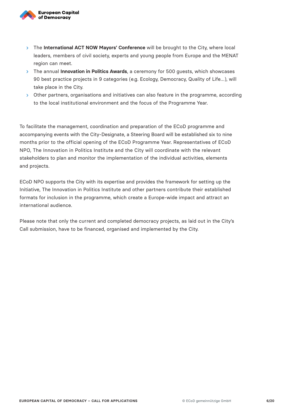

- > The **International ACT NOW Mayors' Conference** will be brought to the City, where local leaders, members of civil society, experts and young people from Europe and the MENAT region can meet.
- The annual **Innovation in Politics Awards**, a ceremony for 500 guests, which showcases 90 best practice projects in 9 categories (e.g. Ecology, Democracy, Quality of Life…), will take place in the City.
- Other partners, organisations and initiatives can also feature in the programme, according to the local institutional environment and the focus of the Programme Year.

To facilitate the management, coordination and preparation of the ECoD programme and accompanying events with the City-Designate, a Steering Board will be established six to nine months prior to the official opening of the ECoD Programme Year. Representatives of ECoD NPO, The Innovation in Politics Institute and the City will coordinate with the relevant stakeholders to plan and monitor the implementation of the individual activities, elements and projects.

ECoD NPO supports the City with its expertise and provides the framework for setting up the Initiative, The Innovation in Politics Institute and other partners contribute their established formats for inclusion in the programme, which create a Europe-wide impact and attract an international audience.

Please note that only the current and completed democracy projects, as laid out in the City's Call submission, have to be financed, organised and implemented by the City.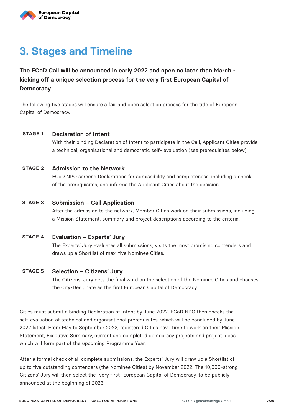# **3. Stages and Timeline**

**The ECoD Call will be announced in early 2022 and open no later than March kicking off a unique selection process for the very first European Capital of Democracy.**

The following five stages will ensure a fair and open selection process for the title of European Capital of Democracy.

## **STAGE 1 Declaration of Intent**

With their binding Declaration of Intent to participate in the Call, Applicant Cities provide a technical, organisational and democratic self- evaluation (see prerequisites below).

#### **Admission to the Network STAGE 2**

ECoD NPO screens Declarations for admissibility and completeness, including a check of the prerequisites, and informs the Applicant Cities about the decision.

#### **Submission – Call Application STAGE 3**

After the admission to the network, Member Cities work on their submissions, including a Mission Statement, summary and project descriptions according to the criteria.

#### **Evaluation – Experts' Jury STAGE 4**

The Experts' Jury evaluates all submissions, visits the most promising contenders and draws up a Shortlist of max. five Nominee Cities.

#### **Selection – Citizens' Jury STAGE 5**

The Citizens' Jury gets the final word on the selection of the Nominee Cities and chooses the City-Designate as the first European Capital of Democracy.

Cities must submit a binding Declaration of Intent by June 2022. ECoD NPO then checks the self-evaluation of technical and organisational prerequisites, which will be concluded by June 2022 latest. From May to September 2022, registered Cities have time to work on their Mission Statement, Executive Summary, current and completed democracy projects and project ideas, which will form part of the upcoming Programme Year.

After a formal check of all complete submissions, the Experts' Jury will draw up a Shortlist of up to five outstanding contenders (the Nominee Cities) by November 2022. The 10,000-strong Citizens' Jury will then select the (very first) European Capital of Democracy, to be publicly announced at the beginning of 2023.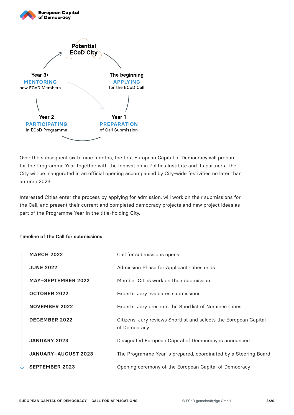

Over the subsequent six to nine months, the first European Capital of Democracy will prepare for the Programme Year together with the Innovation in Politics Institute and its partners. The City will be inaugurated in an official opening accompanied by City-wide festivities no later than autumn 2023.

Interested Cities enter the process by applying for admission, will work on their submissions for the Call, and present their current and completed democracy projects and new project ideas as part of the Programme Year in the title-holding City.

#### **Timeline of the Call for submissions**

| <b>MARCH 2022</b>          | Call for submissions opens                                                        |
|----------------------------|-----------------------------------------------------------------------------------|
| <b>JUNE 2022</b>           | Admission Phase for Applicant Cities ends                                         |
| <b>MAY-SEPTEMBER 2022</b>  | Member Cities work on their submission                                            |
| <b>OCTOBER 2022</b>        | Experts' Jury evaluates submissions                                               |
| <b>NOVEMBER 2022</b>       | Experts' Jury presents the Shortlist of Nominee Cities                            |
| <b>DECEMBER 2022</b>       | Citizens' Jury reviews Shortlist and selects the European Capital<br>of Democracy |
| <b>JANUARY 2023</b>        | Designated European Capital of Democracy is announced                             |
| <b>JANUARY-AUGUST 2023</b> | The Programme Year is prepared, coordinated by a Steering Board                   |
| $\cdot$ SEPTEMBER 2023     | Opening ceremony of the European Capital of Democracy                             |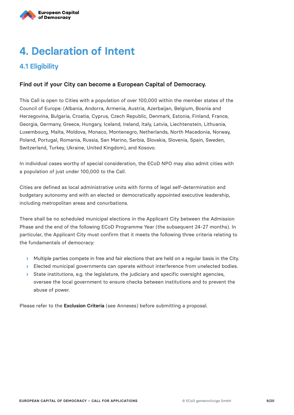

# **4. Declaration of Intent**

# **4.1 Eligibility**

## **Find out if your City can become a European Capital of Democracy.**

This Call is open to Cities with a population of over 100,000 within the member states of the Council of Europe: (Albania, Andorra, Armenia, Austria, Azerbaijan, Belgium, Bosnia and Herzegovina, Bulgaria, Croatia, Cyprus, Czech Republic, Denmark, Estonia, Finland, France, Georgia, Germany, Greece, Hungary, Iceland, Ireland, Italy, Latvia, Liechtenstein, Lithuania, Luxembourg, Malta, Moldova, Monaco, Montenegro, Netherlands, North Macedonia, Norway, Poland, Portugal, Romania, Russia, San Marino, Serbia, Slovakia, Slovenia, Spain, Sweden, Switzerland, Turkey, Ukraine, United Kingdom), and Kosovo.

In individual cases worthy of special consideration, the ECoD NPO may also admit cities with a population of just under 100,000 to the Call.

Cities are defined as local administrative units with forms of legal self-determination and budgetary autonomy and with an elected or democratically appointed executive leadership, including metropolitan areas and conurbations.

There shall be no scheduled municipal elections in the Applicant City between the Admission Phase and the end of the following ECoD Programme Year (the subsequent 24-27 months). In particular, the Applicant City must confirm that it meets the following three criteria relating to the fundamentals of democracy:

- $\rightarrow$  Multiple parties compete in free and fair elections that are held on a regular basis in the City.
- Elected municipal governments can operate without interference from unelected bodies.
- $>$  State institutions, e.g. the legislature, the judiciary and specific oversight agencies, oversee the local government to ensure checks between institutions and to prevent the abuse of power.

Please refer to the **Exclusion Criteria** (see Annexes) before submitting a proposal.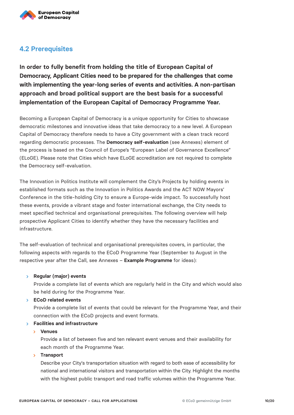

## **4.2 Prerequisites**

**In order to fully benefit from holding the title of European Capital of Democracy, Applicant Cities need to be prepared for the challenges that come with implementing the year-long series of events and activities. A non-partisan approach and broad political support are the best basis for a successful implementation of the European Capital of Democracy Programme Year.**

Becoming a European Capital of Democracy is a unique opportunity for Cities to showcase democratic milestones and innovative ideas that take democracy to a new level. A European Capital of Democracy therefore needs to have a City government with a clean track record regarding democratic processes. The **Democracy self-evaluation** (see Annexes) element of the process is based on the Council of Europe's "European Label of Governance Excellence" (ELoGE). Please note that Cities which have ELoGE accreditation are not required to complete the Democracy self-evaluation.

The Innovation in Politics Institute will complement the City's Projects by holding events in established formats such as the Innovation in Politics Awards and the ACT NOW Mayors' Conference in the title-holding City to ensure a Europe-wide impact. To successfully host these events, provide a vibrant stage and foster international exchange, the City needs to meet specified technical and organisational prerequisites. The following overview will help prospective Applicant Cities to identify whether they have the necessary facilities and infrastructure.

The self-evaluation of technical and organisational prerequisites covers, in particular, the following aspects with regards to the ECoD Programme Year (September to August in the respective year after the Call, see Annexes – **Example Programme** for ideas):

#### **Regular (major) events**

Provide a complete list of events which are regularly held in the City and which would also be held during for the Programme Year.

#### **ECoD related events**

Provide a complete list of events that could be relevant for the Programme Year, and their connection with the ECoD projects and event formats.

#### **Facilities and infrastructure**

#### **Venues**

Provide a list of between five and ten relevant event venues and their availability for each month of the Programme Year.

#### **Transport**

Describe your City's transportation situation with regard to both ease of accessibility for national and international visitors and transportation within the City. Highlight the months with the highest public transport and road traffic volumes within the Programme Year.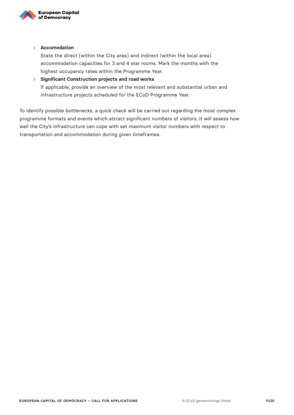

#### **Accomodation**

State the direct (within the City area) and indirect (within the local area) accommodation capacities for 3 and 4 star rooms. Mark the months with the highest occupancy rates within the Programme Year.

## **Significant Construction projects and road works** If applicable, provide an overview of the most relevant and substantial urban and infrastructure projects scheduled for the ECoD Programme Year.

To identify possible bottlenecks, a quick check will be carried out regarding the most complex programme formats and events which attract significant numbers of visitors. It will assess how well the City's infrastructure can cope with set maximum visitor numbers with respect to transportation and accommodation during given timeframes.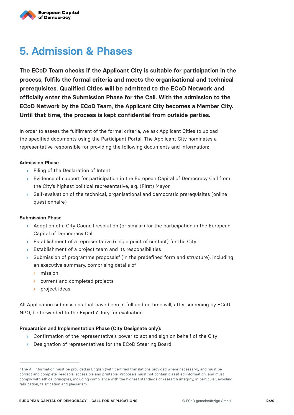

# **5. Admission & Phases**

**The ECoD Team checks if the Applicant City is suitable for participation in the process, fulfils the formal criteria and meets the organisational and technical prerequisites. Qualified Cities will be admitted to the ECoD Network and officially enter the Submission Phase for the Call. With the admission to the ECoD Network by the ECoD Team, the Applicant City becomes a Member City. Until that time, the process is kept confidential from outside parties.**

In order to assess the fulfilment of the formal criteria, we ask Applicant Cities to upload the specified documents using the Participant Portal. The Applicant City nominates a representative responsible for providing the following documents and information:

#### **Admission Phase**

- **Filing of the Declaration of Intent**
- Evidence of support for participation in the European Capital of Democracy Call from the City's highest political representative, e.g. (First) Mayor
- $>$  Self-evaluation of the technical, organisational and democratic prerequisites (online questionnaire)

#### **Submission Phase**

- Adoption of a City Council resolution (or similar) for the participation in the European Capital of Democracy Call
- $\triangleright$  Establishment of a representative (single point of contact) for the City
- Stablishment of a project team and its responsibilities
- $>$  Submission of programme proposals<sup>4</sup> (in the predefined form and structure), including an executive summary, comprising details of
	- mission
	- **b** current and completed projects
	- project ideas  $\mathbf{S}^{\pm}$

All Application submissions that have been in full and on time will, after screening by ECoD NPO, be forwarded to the Experts' Jury for evaluation.

#### **Preparation and Implementation Phase (City Designate only):**

- > Confirmation of the representative's power to act and sign on behalf of the City
- **Designation of representatives for the ECoD Steering Board**

<sup>4</sup> The All information must be provided in English (with certified translations provided where necessary), and must be correct and complete, readable, accessible and printable. Proposals must not contain classified information, and must comply with ethical principles, including compliance with the highest standards of research integrity, in particular, avoiding fabrication, falsification and plagiarism.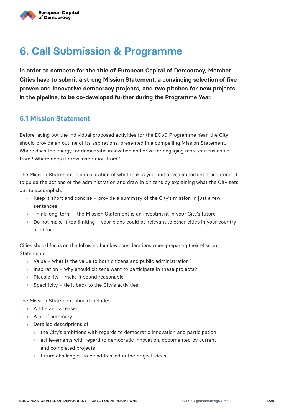# **6. Call Submission & Programme**

**In order to compete for the title of European Capital of Democracy, Member Cities have to submit a strong Mission Statement, a convincing selection of five proven and innovative democracy projects, and two pitches for new projects in the pipeline, to be co-developed further during the Programme Year.**

## **6.1 Mission Statement**

Before laying out the individual proposed activities for the ECoD Programme Year, the City should provide an outline of its aspirations, presented in a compelling Mission Statement. Where does the energy for democratic innovation and drive for engaging more citizens come from? Where does it draw inspiration from?

The Mission Statement is a declaration of what makes your initiatives important. It is intended to guide the actions of the administration and draw in citizens by explaining what the City sets out to accomplish:

- $\triangleright$  Keep it short and concise provide a summary of the City's mission in just a few sentences
- $\rightarrow$  Think long-term the Mission Statement is an investment in your City's future
- $\geq$  Do not make it too limiting your plans could be relevant to other cities in your country or abroad

Cities should focus on the following four key considerations when preparing their Mission Statements:

- $\triangleright$  Value what is the value to both citizens and public administration?
- Inspiration why should citizens want to participate in these projects?
- $\triangleright$  Plausibility make it sound reasonable
- Specificity tie it back to the City's activities  $\mathbf{S}^{\mathcal{A}}$

The Mission Statement should include:

- $\rightarrow$  A title and a teaser
- > A brief summary
- > Detailed descriptions of
	- $\rightarrow$  the City's ambitions with regards to democratic innovation and participation
	- **S** achievements with regard to democratic innovation, documented by current and completed projects
	- > future challenges, to be addressed in the project ideas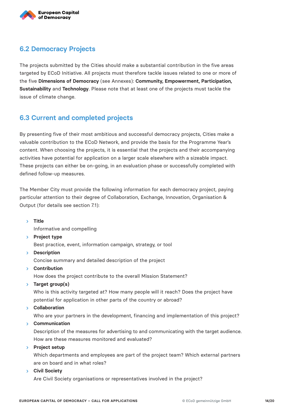

# **6.2 Democracy Projects**

The projects submitted by the Cities should make a substantial contribution in the five areas targeted by ECoD Initiative. All projects must therefore tackle issues related to one or more of the five **Dimensions of Democracy** (see Annexes): **Community, Empowerment, Participation, Sustainability** and **Technology**. Please note that at least one of the projects must tackle the issue of climate change.

## **6.3 Current and completed projects**

By presenting five of their most ambitious and successful democracy projects, Cities make a valuable contribution to the ECoD Network, and provide the basis for the Programme Year's content. When choosing the projects, it is essential that the projects and their accompanying activities have potential for application on a larger scale elsewhere with a sizeable impact. These projects can either be on-going, in an evaluation phase or successfully completed with defined follow-up measures.

The Member City must provide the following information for each democracy project, paying particular attention to their degree of Collaboration, Exchange, Innovation, Organisation & Output (for details see section 7.1):

**Title**

Informative and compelling

**Project type**

Best practice, event, information campaign, strategy, or tool

- **Description** Concise summary and detailed description of the project
- **Contribution** How does the project contribute to the overall Mission Statement?
- **Target group(s)**

Who is this activity targeted at? How many people will it reach? Does the project have potential for application in other parts of the country or abroad?

**Collaboration**

Who are your partners in the development, financing and implementation of this project?

**Communication**

Description of the measures for advertising to and communicating with the target audience. How are these measures monitored and evaluated?

**Project setup**

Which departments and employees are part of the project team? Which external partners are on board and in what roles?

**Civil Society**

Are Civil Society organisations or representatives involved in the project?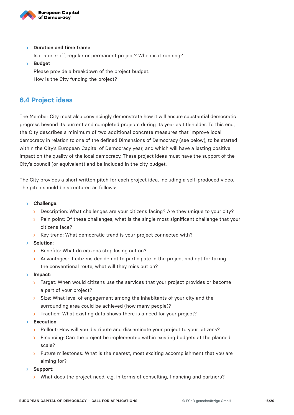

**Duration and time frame**

Is it a one-off, regular or permanent project? When is it running?

**Budget**

Please provide a breakdown of the project budget. How is the City funding the project?

## **6.4 Project ideas**

The Member City must also convincingly demonstrate how it will ensure substantial democratic progress beyond its current and completed projects during its year as titleholder. To this end, the City describes a minimum of two additional concrete measures that improve local democracy in relation to one of the defined Dimensions of Democracy (see below), to be started within the City's European Capital of Democracy year, and which will have a lasting positive impact on the quality of the local democracy. These project ideas must have the support of the City's council (or equivalent) and be included in the city budget.

The City provides a short written pitch for each project idea, including a self-produced video. The pitch should be structured as follows:

- **Challenge**:
	- **Description: What challenges are your citizens facing? Are they unique to your city?**
	- **Pain point: Of these challenges, what is the single most significant challenge that your** citizens face?
	- S Key trend: What democratic trend is your project connected with?
- **Solution**:
	- Benefits: What do citizens stop losing out on?
	- > Advantages: If citizens decide not to participate in the project and opt for taking the conventional route, what will they miss out on?
- **Impact**:
	- > Target: When would citizens use the services that your project provides or become a part of your project?
	- Size: What level of engagement among the inhabitants of your city and the surrounding area could be achieved (how many people)?
	- Traction: What existing data shows there is a need for your project?
- **Execution**:
	- > Rollout: How will you distribute and disseminate your project to your citizens?
	- $\overline{\phantom{a}}$  Financing: Can the project be implemented within existing budgets at the planned scale?
	- $\rightarrow$  Future milestones: What is the nearest, most exciting accomplishment that you are aiming for?
- **Support**:
	- > What does the project need, e.g. in terms of consulting, financing and partners?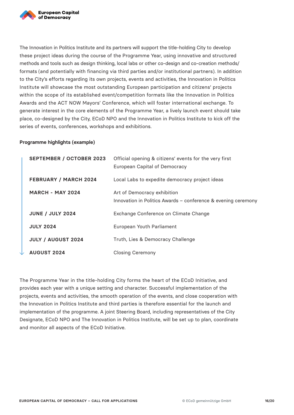

The Innovation in Politics Institute and its partners will support the title-holding City to develop these project ideas during the course of the Programme Year, using innovative and structured methods and tools such as design thinking, local labs or other co-design and co-creation methods/ formats (and potentially with financing via third parties and/or institutional partners). In addition to the City's efforts regarding its own projects, events and activities, the Innovation in Politics Institute will showcase the most outstanding European participation and citizens' projects within the scope of its established event/competition formats like the Innovation in Politics Awards and the ACT NOW Mayors' Conference, which will foster international exchange. To generate interest in the core elements of the Programme Year, a lively launch event should take place, co-designed by the City, ECoD NPO and the Innovation in Politics Institute to kick off the series of events, conferences, workshops and exhibitions.

#### **Programme highlights (example)**

| <b>SEPTEMBER / OCTOBER 2023</b> | Official opening & citizens' events for the very first<br>European Capital of Democracy      |
|---------------------------------|----------------------------------------------------------------------------------------------|
| <b>FEBRUARY / MARCH 2024</b>    | Local Labs to expedite democracy project ideas                                               |
| <b>MARCH - MAY 2024</b>         | Art of Democracy exhibition<br>Innovation in Politics Awards - conference & evening ceremony |
| <b>JUNE / JULY 2024</b>         | Exchange Conference on Climate Change                                                        |
| <b>JULY 2024</b>                | European Youth Parliament                                                                    |
| <b>JULY / AUGUST 2024</b>       | Truth, Lies & Democracy Challenge                                                            |
| <b>AUGUST 2024</b>              | <b>Closing Ceremony</b>                                                                      |

The Programme Year in the title-holding City forms the heart of the ECoD Initiative, and provides each year with a unique setting and character. Successful implementation of the projects, events and activities, the smooth operation of the events, and close cooperation with the Innovation in Politics Institute and third parties is therefore essential for the launch and implementation of the programme. A joint Steering Board, including representatives of the City Designate, ECoD NPO and The Innovation in Politics Institute, will be set up to plan, coordinate and monitor all aspects of the ECoD Initiative.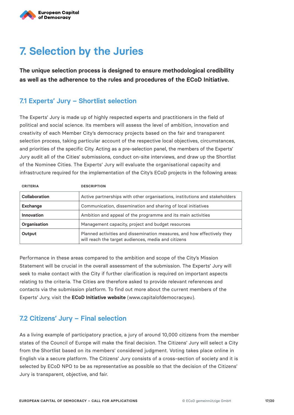

# **7. Selection by the Juries**

**The unique selection process is designed to ensure methodological credibility as well as the adherence to the rules and procedures of the ECoD Initiative.**

## **7.1 Experts' Jury – Shortlist selection**

The Experts' Jury is made up of highly respected experts and practitioners in the field of political and social science. Its members will assess the level of ambition, innovation and creativity of each Member City's democracy projects based on the fair and transparent selection process, taking particular account of the respective local objectives, circumstances, and priorities of the specific City. Acting as a pre-selection panel, the members of the Experts' Jury audit all of the Cities' submissions, conduct on-site interviews, and draw up the Shortlist of the Nominee Cities. The Experts' Jury will evaluate the organisational capacity and infrastructure required for the implementation of the City's ECoD projects in the following areas:

| <b>CRITERIA</b> | <b>DESCRIPTION</b>                                                                                                             |
|-----------------|--------------------------------------------------------------------------------------------------------------------------------|
| Collaboration   | Active partnerships with other organisations, institutions and stakeholders                                                    |
| <b>Exchange</b> | Communication, dissemination and sharing of local initiatives                                                                  |
| Innovation      | Ambition and appeal of the programme and its main activities                                                                   |
| Organisation    | Management capacity, project and budget resources                                                                              |
| Output          | Planned activities and dissemination measures, and how effectively they<br>will reach the target audiences, media and citizens |

Performance in these areas compared to the ambition and scope of the City's Mission Statement will be crucial in the overall assessment of the submission. The Experts' Jury will seek to make contact with the City if further clarification is required on important aspects relating to the criteria. The Cities are therefore asked to provide relevant references and contacts via the submission platform. To find out more about the current members of the Experts' Jury, visit the **ECoD Initiative website** (www.capitalofdemocracy.eu).

## **7.2 Citizens' Jury – Final selection**

As a living example of participatory practice, a jury of around 10,000 citizens from the member states of the Council of Europe will make the final decision. The Citizens' Jury will select a City from the Shortlist based on its members' considered judgment. Voting takes place online in English via a secure platform. The Citizens' Jury consists of a cross-section of society and it is selected by ECoD NPO to be as representative as possible so that the decision of the Citizens' Jury is transparent, objective, and fair.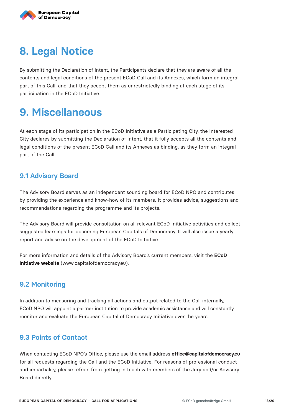

# **8. Legal Notice**

By submitting the Declaration of Intent, the Participants declare that they are aware of all the contents and legal conditions of the present ECoD Call and its Annexes, which form an integral part of this Call, and that they accept them as unrestrictedly binding at each stage of its participation in the ECoD Initiative.

# **9. Miscellaneous**

At each stage of its participation in the ECoD Initiative as a Participating City, the Interested City declares by submitting the Declaration of Intent, that it fully accepts all the contents and legal conditions of the present ECoD Call and its Annexes as binding, as they form an integral part of the Call.

## **9.1 Advisory Board**

The Advisory Board serves as an independent sounding board for ECoD NPO and contributes by providing the experience and know-how of its members. It provides advice, suggestions and recommendations regarding the programme and its projects.

The Advisory Board will provide consultation on all relevant ECoD Initiative activities and collect suggested learnings for upcoming European Capitals of Democracy. It will also issue a yearly report and advise on the development of the ECoD Initiative.

For more information and details of the Advisory Board's current members, visit the **ECoD Initiative website** (www.capitalofdemocracy.eu).

## **9.2 Monitoring**

In addition to measuring and tracking all actions and output related to the Call internally, ECoD NPO will appoint a partner institution to provide academic assistance and will constantly monitor and evaluate the European Capital of Democracy Initiative over the years.

## **9.3 Points of Contact**

When contacting ECoD NPO's Office, please use the email address **office@capitalofdemocracy.eu** for all requests regarding the Call and the ECoD Initiative. For reasons of professional conduct and impartiality, please refrain from getting in touch with members of the Jury and/or Advisory Board directly.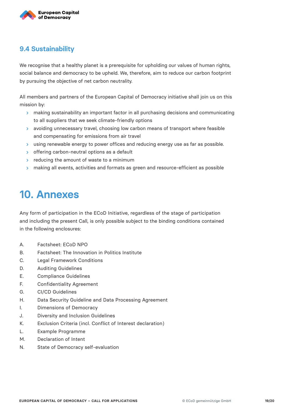

## **9.4 Sustainability**

We recognise that a healthy planet is a prerequisite for upholding our values of human rights, social balance and democracy to be upheld. We, therefore, aim to reduce our carbon footprint by pursuing the objective of net carbon neutrality.

All members and partners of the European Capital of Democracy initiative shall join us on this mission by:

- **>** making sustainability an important factor in all purchasing decisions and communicating to all suppliers that we seek climate-friendly options
- avoiding unnecessary travel, choosing low carbon means of transport where feasible and compensating for emissions from air travel
- using renewable energy to power offices and reducing energy use as far as possible.
- $\rightarrow$  offering carbon-neutral options as a default
- $\rightarrow$  reducing the amount of waste to a minimum
- > making all events, activities and formats as green and resource-efficient as possible

# **10. Annexes**

Any form of participation in the ECoD Initiative, regardless of the stage of participation and including the present Call, is only possible subject to the binding conditions contained in the following enclosures:

- A. Factsheet: ECoD NPO
- B. Factsheet: The Innovation in Politics Institute
- C. Legal Framework Conditions
- D. Auditing Guidelines
- E. Compliance Guidelines
- F. Confidentiality Agreement
- G. CI/CD Guidelines
- H. Data Security Guideline and Data Processing Agreement
- I. Dimensions of Democracy
- J. Diversity and Inclusion Guidelines
- K. Exclusion Criteria (incl. Conflict of Interest declaration)
- L. Example Programme
- M. Declaration of Intent
- N. State of Democracy self-evaluation